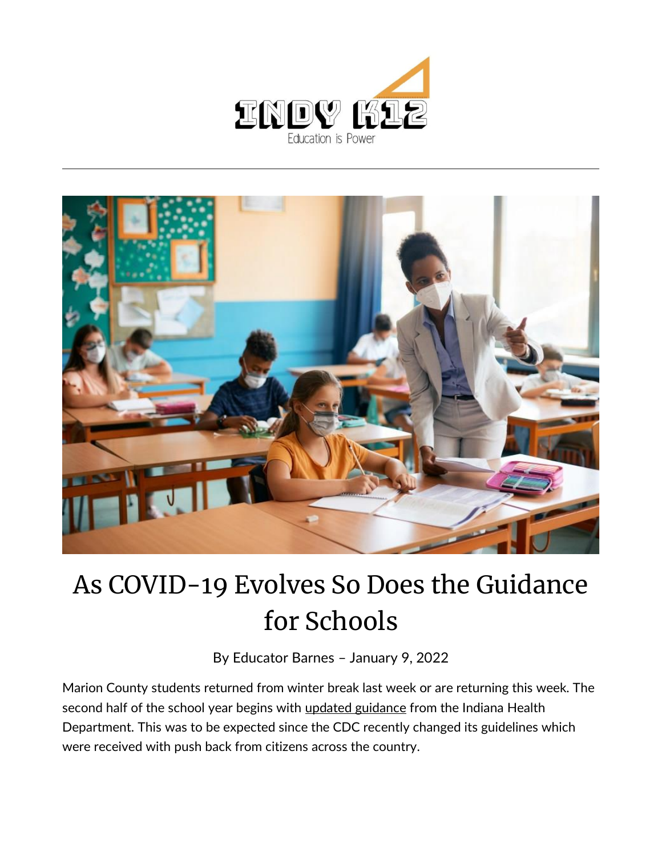



## As COVID-19 Evolves So Does the Guidance for Schools

By [Educator Barnes](https://indy.education/author/shicole/) – January 9, 2022

Marion County students returned from winter break last week or are returning this week. The second half of the school year begins with [updated guidance](https://www.coronavirus.in.gov/files/K-12-Guidance-12-30-21.pdf) from the Indiana Health Department. This was to be expected since the CDC recently changed its guidelines which were received with push back from citizens across the country.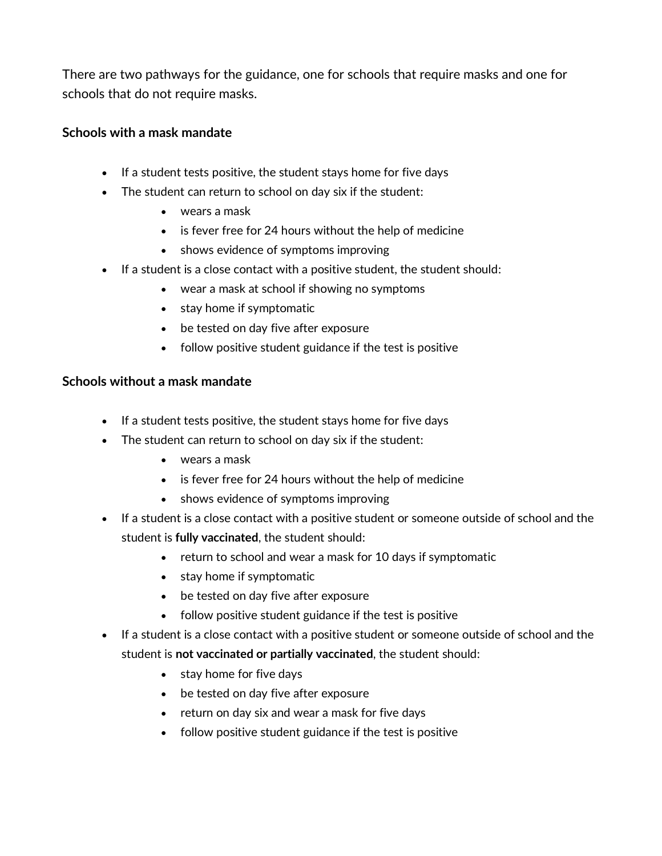There are two pathways for the guidance, one for schools that require masks and one for schools that do not require masks.

## **Schools with a mask mandate**

- If a student tests positive, the student stays home for five days
- The student can return to school on day six if the student:
	- wears a mask
	- is fever free for 24 hours without the help of medicine
	- shows evidence of symptoms improving
- If a student is a close contact with a positive student, the student should:
	- wear a mask at school if showing no symptoms
	- stay home if symptomatic
	- be tested on day five after exposure
	- follow positive student guidance if the test is positive

## **Schools without a mask mandate**

- If a student tests positive, the student stays home for five days
- The student can return to school on day six if the student:
	- wears a mask
	- is fever free for 24 hours without the help of medicine
	- shows evidence of symptoms improving
- If a student is a close contact with a positive student or someone outside of school and the student is **fully vaccinated**, the student should:
	- return to school and wear a mask for 10 days if symptomatic
	- stay home if symptomatic
	- be tested on day five after exposure
	- follow positive student guidance if the test is positive
- If a student is a close contact with a positive student or someone outside of school and the student is **not vaccinated or partially vaccinated**, the student should:
	- stay home for five days
	- be tested on day five after exposure
	- return on day six and wear a mask for five days
	- follow positive student guidance if the test is positive